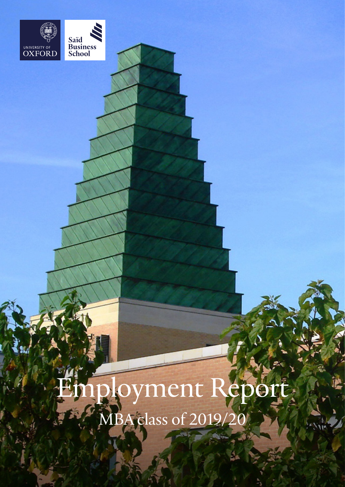



Ployment Report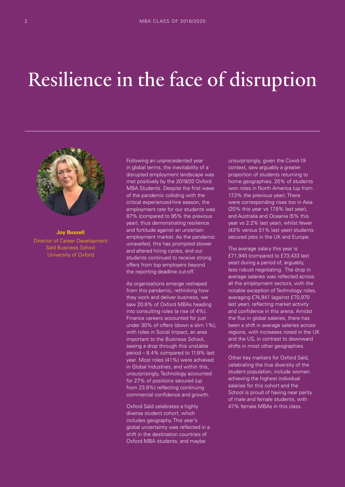## Resilience in the face of disruption



**Joy Bussell** Director of Career Development Saïd Business School University of Oxford

Following an unprecedented year in global terms, the inevitability of a disrupted employment landscape was met positively by the 2019/20 Oxford MBA Students. Despite the first wave of the pandemic colliding with the critical experienced-hire season, the employment rate for our students was 87% (compared to 95% the previous year), thus demonstrating resilience and fortitude against an uncertain employment market. As the pandemic unravelled, this has prompted slower and altered hiring cycles, and our students continued to receive strong offers from top employers beyond the reporting deadline cut-off.

As organisations emerge reshaped from this pandemic, rethinking how they work and deliver business, we saw 20.8% of Oxford MBAs heading into consulting roles (a rise of 4%). Finance careers accounted for just under 30% of offers (down a slim 1%), with roles in Social Impact, an area important to the Business School, seeing a drop through this unstable period – 8.4% compared to 11.9% last year. Most roles (41%) were achieved in Global Industries, and within this, unsurprisingly, Technology accounted for 27% of positions secured (up from 23.8%) reflecting continuing commercial confidence and growth.

Oxford Saïd celebrates a highly diverse student cohort, which includes geography. This year's global uncertainty was reflected in a shift in the destination countries of Oxford MBA students, and maybe

unsurprisingly, given the Covid-19 context, saw arguably a greater proportion of students returning to home geographies. 20% of students won roles in North America (up from 17.3% the previous year). There were corresponding rises too in Asia (20% this year vs 17.8% last year), and Australia and Oceania (5% this year vs 2.2% last year), whilst fewer (43% versus 51% last year) students secured jobs in the UK and Europe.

The average salary this year is £71,940 (compared to £73,433 last year) during a period of, arguably, less robust negotiating. The drop in average salaries was reflected across all the employment sectors, with the notable exception of Technology roles, averaging £74,941 (against £70,970 last year), reflecting market activity and confidence in this arena. Amidst the flux in global salaries, there has been a shift in average salaries across regions, with increases noted in the UK and the US, in contrast to downward shifts in most other geographies.

Other key markers for Oxford Saïd, celebrating the true diversity of the student population, include women achieving the highest individual salaries for this cohort and the School is proud of having near parity of male and female students, with 47% female MBAs in this class.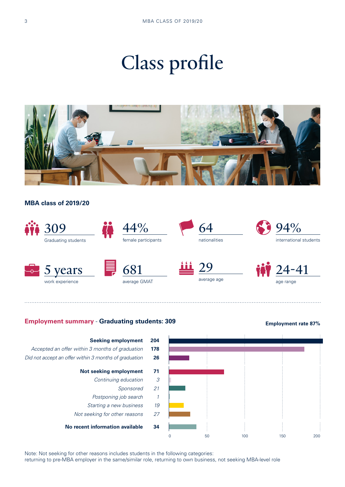# Class profile



### **MBA class of 2019/20**

work experience



average GMAT

### **Employment summary - Graduating students: 309 <b>Employment rate 87%**





average age

Note: Not seeking for other reasons includes students in the following categories:

returning to pre-MBA employer in the same/similar role, returning to own business, not seeking MBA-level role

age range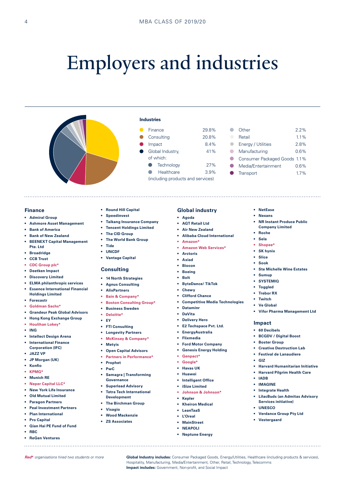# Employers and industries

Finance 29.8% Consulting 20.8% Impact 8.4% Global Industry, 41%

**C** Technology 27% ● Healthcare 3.9% (including products and services)

**Industries** 

of which:



#### **Finance**

- **• Admiral Group**
- **• Ashmore Asset Management**
- **• Bank of America**
- **• Bank of New Zealand**
- **• BEENEXT Capital Management Pte. Ltd**
- **• Broadridge**
- **• CCB Trust**
- **• CDC Group plc\***
- **• Deetken Impact**
- **• Discovery Limited**
- **• ELMA philanthropic services • Essence International Financial**
- **Holdings Limited**
- **• Forecastr**
- **• Goldman Sachs\***
- **• Grandeur Peak Global Advisors**
- **• Hong Kong Exchange Group**
- **• Houlihan Lokey\***
- **• ING**
- **• Intellect Design Arena**
- **• International Finance Corporation (IFC)**
- **• JAZZ VP**
- **• JP Morgan (UK)**
- **• Konfio**
- **• KPMG\***
- **• Munich RE**
- **• Neper Capital LLC\***
- **• New York Life Insurance**
- **• Old Mutual Limited**
- **• Paragon Partners**
- **• Peal Investment Partners**
- **• Plan International**
- **• Pro Capital**
- **• Qian Hai PE Fund of Fund**

- **• RBC**
- **• ReGen Ventures**
- **• Round Hill Capital**
- **• Speedinvest**
- **• Taikang Insurance Company**
- **• Tencent Holdings Limited**
- **• The CID Group**
- **• The World Bank Group**
- **• Tide**
- **• UNCDF**
- **• Vantage Capital**

### **Consulting**

- **• 14 North Strategies**
- **• Agnus Consulting**
- **• AlixPartners**
- **• Bain & Company\***
- **• Boston Consulting Group\***
- **• Business Sweden**
- **• Deloitte\***
- **• EY**
- **• FTI Consulting**
- **• Longevity Partners**
- **• McKinsey & Company\***
- **• Metyis**
- **• Open Capital Advisors**
- **• Partners in Performance\***
- **• Prophet**
- **• PwC**
- **• Samagra | Transforming Governance**
- **• Superlead Advisory**
- **• Tetra Tech International**
- **Development • The Birchman Group**
- **• Visagio**
- **• Wood Mackenzie**
- **• ZS Associates**
	-
- **• Agoda**
	- **• AGT Retail Ltd**

**Global industry**

- **• Air New Zealand**
- **• Alibaba Cloud International**

Other 2.2% Retail 11% Energy / Utilities 2.8% Manufacturing 0.6% Consumer Packaged Goods 1.1% Media/Entertainment 0.6% Transport 1.7%

 $\bullet$ 

 $\bullet$  $\Box$  $\sqrt{2}$  $\bullet$  $\bullet$ 

> **• NetEase • Nexans**

**• Roche • Sela • Shopee\* • SK hynix • Slice • Sook**

**• Sumup • SYSTEMIQ • Toggled • Trebor RX • Twitch • Ve Global**

**Impact • 60 Decibels**

**• GIZ**

**• IADB • IMAGINE • Integrate Health**

**• UNESCO**

**• Vestergaard**

**• NR Instant Produce Public Company Limited**

**• Ste Michelle Wine Estates**

**• Vifor Pharma Management Ltd**

**• BCGDV / Digital Boost • Boster Group**

**• Creative Destruction Lab • Festival de Lanaudiere**

**• Harvard Humanitarian Initiative • Harvard Pilgrim Health Care**

**• LilacBuds (an Admitas Advisory** 

**Services initiative)**

**• Verdance Group Pty Ltd**

- **• Amazon\***
- **• Amazon Web Services\***
- **• Arctoris**
- **• Axiad • Biocon**
- **• Boeing**
- **• Bolt**
- **• ByteDance/ TikTok**
- - **• Chewy**
	- **• Clifford Chance**
	- **• Competitive Media Technologies**
	- **• Dataminr**
	- **• DaVita**
	- **• Delivery Hero**
	- **• E2 Techspace Pvt. Ltd.**
	- **• EnergyAustralia**
	- **• Flixmedia**
		- **• Ford Motor Company**
	- **• Genesis Energy Holding**
	- **• Genpact\***
	- **• Google\***
	- **• Havas UK**

**• Kepler • Kheiron Medical • LeanTaaS • L'Oreal • MainStreet • NEAPOLI • Neptune Energy**

*Red***\*** *organisations hired two students or more* **Global Industry includes:** Consumer Packaged Goods, Energy/Utilities, Healthcare (including products & services),

**Impact includes:** Government, Non-profit, and Social Impact

**• Huawei • Intelligent Office • iSize Limited**

**• Johnson & Johnson\***

Hospitality, Manufacturing, Media/Entertainment, Other, Retail, Technology, Telecomms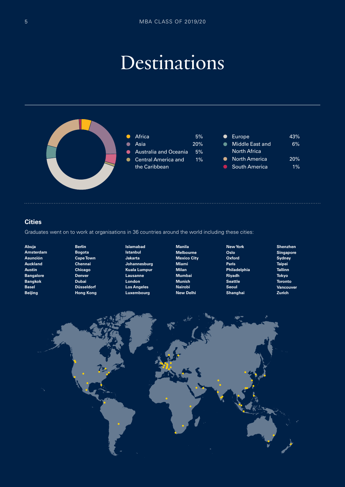### Destinations



### **Cities**

Graduates went on to work at organisations in 36 countries around the world including these cities:

- **Abuja Amsterdam Asunción Auckland Austin Bangalore Bangkok Basel Beijing**
- **Berlin Bogota Cape Town Chennai Chicago Denver Dubai Düsseldorf Hong Kong**
- **Islamabad Istanbul Jakarta Johannesburg Kuala Lumpur Lausanne London Los Angeles Luxembourg**
- **Manila Melbourne Mexico City Miami Milan Mumbai Munich Nairobi New Delhi**
- **New York Oslo Oxford Paris Philadelphia Riyadh Seattle Seoul Shanghai**
- **Shenzhen Singapore Sydney Taipei Tallinn Tokyo Toronto Vancouver Zurich**